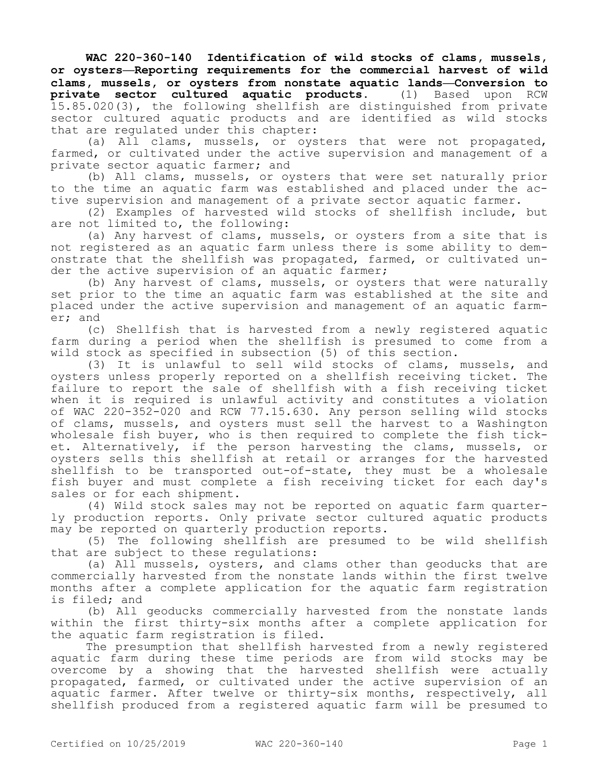**WAC 220-360-140 Identification of wild stocks of clams, mussels, or oysters—Reporting requirements for the commercial harvest of wild clams, mussels, or oysters from nonstate aquatic lands—Conversion to private sector cultured aquatic products.** (1) Based upon RCW 15.85.020(3), the following shellfish are distinguished from private sector cultured aquatic products and are identified as wild stocks that are regulated under this chapter:

(a) All clams, mussels, or oysters that were not propagated, farmed, or cultivated under the active supervision and management of a private sector aquatic farmer; and

(b) All clams, mussels, or oysters that were set naturally prior to the time an aquatic farm was established and placed under the active supervision and management of a private sector aquatic farmer.

(2) Examples of harvested wild stocks of shellfish include, but are not limited to, the following:

(a) Any harvest of clams, mussels, or oysters from a site that is not registered as an aquatic farm unless there is some ability to demonstrate that the shellfish was propagated, farmed, or cultivated under the active supervision of an aquatic farmer;

(b) Any harvest of clams, mussels, or oysters that were naturally set prior to the time an aquatic farm was established at the site and placed under the active supervision and management of an aquatic farmer; and

(c) Shellfish that is harvested from a newly registered aquatic farm during a period when the shellfish is presumed to come from a wild stock as specified in subsection (5) of this section.

(3) It is unlawful to sell wild stocks of clams, mussels, and oysters unless properly reported on a shellfish receiving ticket. The failure to report the sale of shellfish with a fish receiving ticket when it is required is unlawful activity and constitutes a violation of WAC 220-352-020 and RCW 77.15.630. Any person selling wild stocks of clams, mussels, and oysters must sell the harvest to a Washington wholesale fish buyer, who is then required to complete the fish ticket. Alternatively, if the person harvesting the clams, mussels, or oysters sells this shellfish at retail or arranges for the harvested shellfish to be transported out-of-state, they must be a wholesale fish buyer and must complete a fish receiving ticket for each day's sales or for each shipment.

(4) Wild stock sales may not be reported on aquatic farm quarterly production reports. Only private sector cultured aquatic products may be reported on quarterly production reports.

(5) The following shellfish are presumed to be wild shellfish that are subject to these regulations:

(a) All mussels, oysters, and clams other than geoducks that are commercially harvested from the nonstate lands within the first twelve months after a complete application for the aquatic farm registration is filed; and

(b) All geoducks commercially harvested from the nonstate lands within the first thirty-six months after a complete application for the aquatic farm registration is filed.

The presumption that shellfish harvested from a newly registered aquatic farm during these time periods are from wild stocks may be overcome by a showing that the harvested shellfish were actually propagated, farmed, or cultivated under the active supervision of an aquatic farmer. After twelve or thirty-six months, respectively, all shellfish produced from a registered aquatic farm will be presumed to